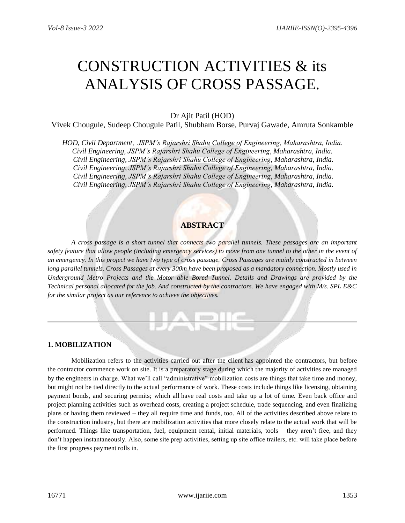# CONSTRUCTION ACTIVITIES & its ANALYSIS OF CROSS PASSAGE.

# Dr Ajit Patil (HOD)

Vivek Chougule, Sudeep Chougule Patil, Shubham Borse, Purvaj Gawade, Amruta Sonkamble

*HOD, Civil Department, JSPM's Rajarshri Shahu College of Engineering, Maharashtra, India. Civil Engineering, JSPM's Rajarshri Shahu College of Engineering, Maharashtra, India. Civil Engineering, JSPM's Rajarshri Shahu College of Engineering, Maharashtra, India. Civil Engineering, JSPM's Rajarshri Shahu College of Engineering, Maharashtra, India. Civil Engineering, JSPM's Rajarshri Shahu College of Engineering, Maharashtra, India. Civil Engineering, JSPM's Rajarshri Shahu College of Engineering, Maharashtra, India.*

# **ABSTRACT**

*A cross passage is a short tunnel that connects two parallel tunnels. These passages are an important safety feature that allow people (including emergency services) to move from one tunnel to the other in the event of an emergency. In this project we have two type of cross passage. Cross Passages are mainly constructed in between long parallel tunnels. Cross Passages at every 300m have been proposed as a mandatory connection. Mostly used in Underground Metro Projects and the Motor able Bored Tunnel. Details and Drawings are provided by the Technical personal allocated for the job. And constructed by the contractors. We have engaged with M/s. SPL E&C for the similar project as our reference to achieve the objectives.*

JARIIE

## **1. MOBILIZATION**

Mobilization refers to the activities carried out after the client has appointed the contractors, but before the contractor commence work on site. It is a preparatory stage during which the majority of activities are managed by the engineers in charge. What we'll call "administrative" mobilization costs are things that take time and money, but might not be tied directly to the actual performance of work. These costs include things like licensing, obtaining payment bonds, and securing permits; which all have real costs and take up a lot of time. Even back office and project planning activities such as overhead costs, creating a project schedule, trade sequencing, and even finalizing plans or having them reviewed – they all require time and funds, too. All of the activities described above relate to the construction industry, but there are mobilization activities that more closely relate to the actual work that will be performed. Things like transportation, fuel, equipment rental, initial materials, tools – they aren't free, and they don't happen instantaneously. Also, some site prep activities, setting up site office trailers, etc. will take place before the first progress payment rolls in.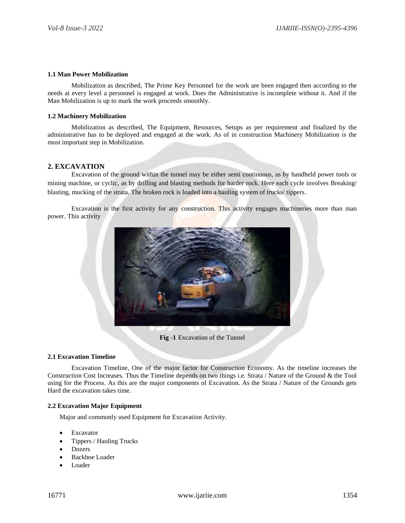#### **1.1 Man Power Mobilization**

Mobilization as described, The Prime Key Personnel for the work are been engaged then according to the needs at every level a personnel is engaged at work. Does the Administrative is incomplete without it. And if the Man Mobilization is up to mark the work proceeds smoothly.

#### **1.2 Machinery Mobilization**

Mobilization as described, The Equipment, Resources, Setups as per requirement and finalized by the administrative has to be deployed and engaged at the work. As of in construction Machinery Mobilization is the most important step in Mobilization.

## **2. EXCAVATION**

Excavation of the ground within the tunnel may be either semi continuous, as by handheld power tools or mining machine, or cyclic, as by drilling and blasting methods for harder rock. Here each cycle involves Breaking/ blasting, mucking of the strata. The broken rock is loaded into a hauling system of trucks/ tippers.

Excavation is the first activity for any construction. This activity engages machineries more than man power. This activity



**Fig -1** Excavation of the Tunnel

#### **2.1 Excavation Timeline**

Excavation Timeline, One of the major factor for Construction Economy. As the timeline increases the Construction Cost Increases. Thus the Timeline depends on two things i.e. Strata / Nature of the Ground & the Tool using for the Process. As this are the major components of Excavation. As the Strata / Nature of the Grounds gets Hard the excavation takes time.

## **2.2 Excavation Major Equipment**

Major and commonly used Equipment for Excavation Activity.

- Excavator
- Tippers / Hauling Trucks
- Dozers
- Backhoe Loader
- Loader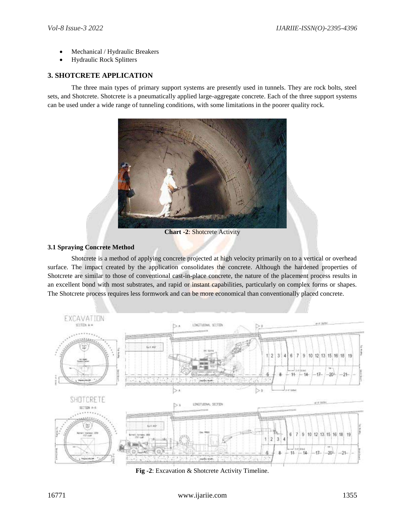- Mechanical / Hydraulic Breakers
- Hydraulic Rock Splitters

## **3. SHOTCRETE APPLICATION**

The three main types of primary support systems are presently used in tunnels. They are rock bolts, steel sets, and Shotcrete. Shotcrete is a pneumatically applied large-aggregate concrete. Each of the three support systems can be used under a wide range of tunneling conditions, with some limitations in the poorer quality rock.



**Chart -2**: Shotcrete Activity

## **3.1 Spraying Concrete Method**

Shotcrete is a method of applying concrete projected at high velocity primarily on to a vertical or overhead surface. The impact created by the application consolidates the concrete. Although the hardened properties of Shotcrete are similar to those of conventional cast-in-place concrete, the nature of the placement process results in an excellent bond with most substrates, and rapid or instant capabilities, particularly on complex forms or shapes. The Shotcrete process requires less formwork and can be more economical than conventionally placed concrete.



**Fig -2**: Excavation & Shotcrete Activity Timeline.